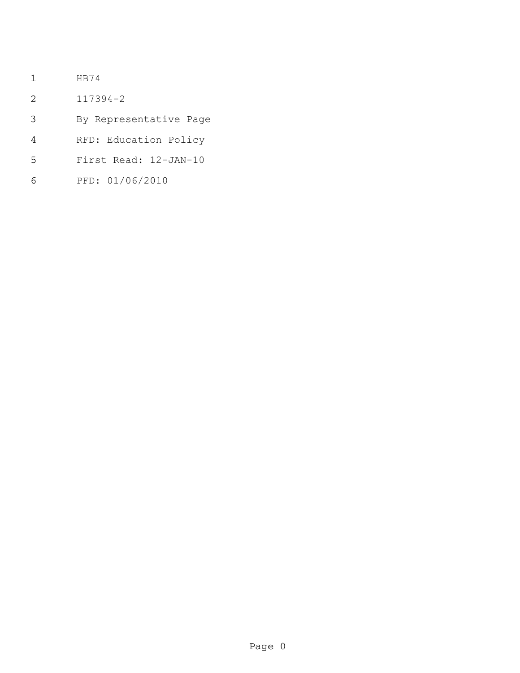- HB74
- 117394-2
- By Representative Page
- RFD: Education Policy
- First Read: 12-JAN-10
- PFD: 01/06/2010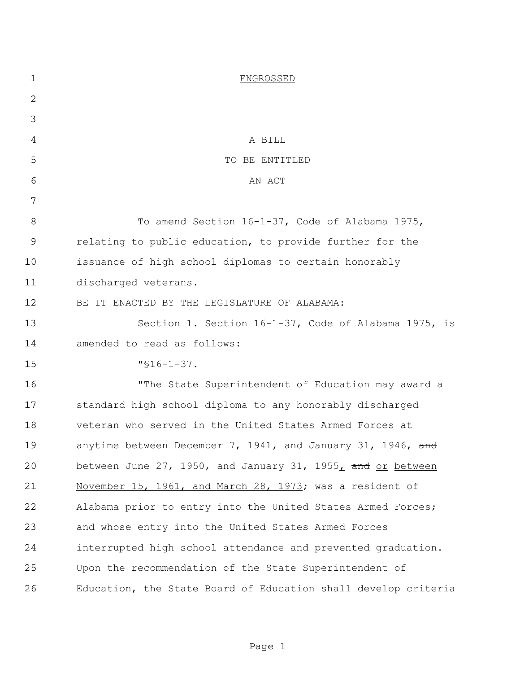| 1  | <b>ENGROSSED</b>                                               |
|----|----------------------------------------------------------------|
| 2  |                                                                |
| 3  |                                                                |
| 4  | A BILL                                                         |
| 5  | TO BE ENTITLED                                                 |
| 6  | AN ACT                                                         |
| 7  |                                                                |
| 8  | To amend Section 16-1-37, Code of Alabama 1975,                |
| 9  | relating to public education, to provide further for the       |
| 10 | issuance of high school diplomas to certain honorably          |
| 11 | discharged veterans.                                           |
| 12 | BE IT ENACTED BY THE LEGISLATURE OF ALABAMA:                   |
| 13 | Section 1. Section 16-1-37, Code of Alabama 1975, is           |
| 14 | amended to read as follows:                                    |
| 15 | $"$ \$16-1-37.                                                 |
| 16 | "The State Superintendent of Education may award a             |
| 17 | standard high school diploma to any honorably discharged       |
| 18 | veteran who served in the United States Armed Forces at        |
| 19 | anytime between December 7, 1941, and January 31, 1946, and    |
| 20 | between June 27, 1950, and January 31, 1955, and or between    |
| 21 | November 15, 1961, and March 28, 1973; was a resident of       |
| 22 | Alabama prior to entry into the United States Armed Forces;    |
| 23 | and whose entry into the United States Armed Forces            |
| 24 | interrupted high school attendance and prevented graduation.   |
| 25 | Upon the recommendation of the State Superintendent of         |
| 26 | Education, the State Board of Education shall develop criteria |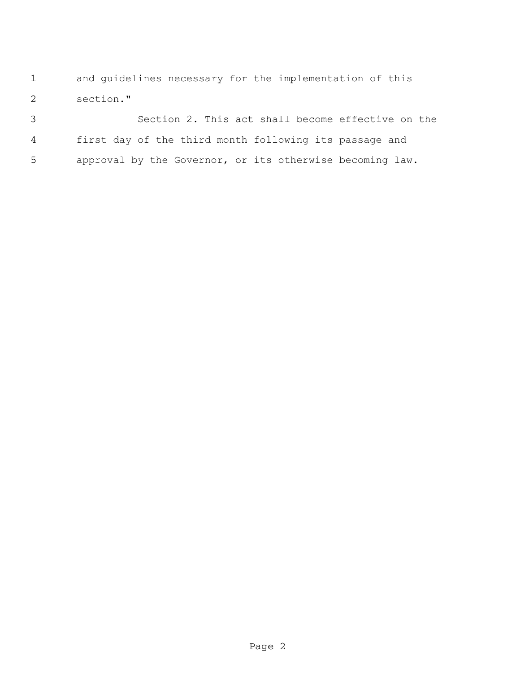and guidelines necessary for the implementation of this section."

 Section 2. This act shall become effective on the first day of the third month following its passage and approval by the Governor, or its otherwise becoming law.